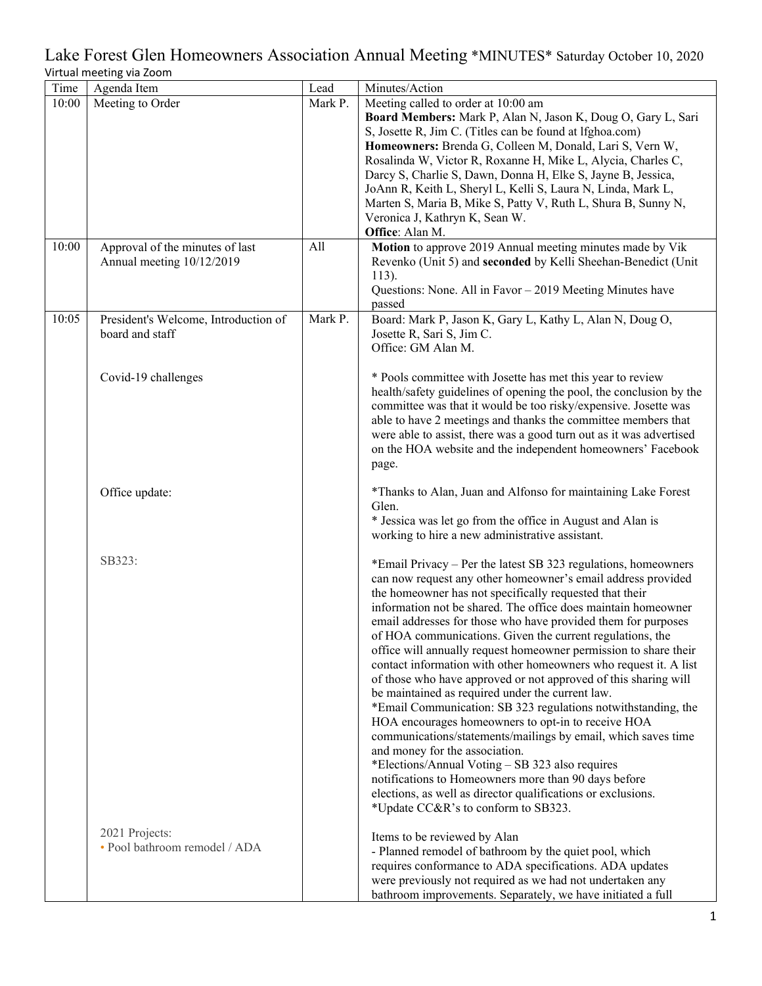| Time  | Agenda Item                                     | Lead    | Minutes/Action                                                      |
|-------|-------------------------------------------------|---------|---------------------------------------------------------------------|
| 10:00 | Meeting to Order                                | Mark P. | Meeting called to order at 10:00 am                                 |
|       |                                                 |         | Board Members: Mark P, Alan N, Jason K, Doug O, Gary L, Sari        |
|       |                                                 |         | S, Josette R, Jim C. (Titles can be found at lfghoa.com)            |
|       |                                                 |         | Homeowners: Brenda G, Colleen M, Donald, Lari S, Vern W,            |
|       |                                                 |         | Rosalinda W, Victor R, Roxanne H, Mike L, Alycia, Charles C,        |
|       |                                                 |         | Darcy S, Charlie S, Dawn, Donna H, Elke S, Jayne B, Jessica,        |
|       |                                                 |         | JoAnn R, Keith L, Sheryl L, Kelli S, Laura N, Linda, Mark L,        |
|       |                                                 |         | Marten S, Maria B, Mike S, Patty V, Ruth L, Shura B, Sunny N,       |
|       |                                                 |         | Veronica J, Kathryn K, Sean W.                                      |
|       |                                                 |         | Office: Alan M.                                                     |
| 10:00 | Approval of the minutes of last                 | All     | Motion to approve 2019 Annual meeting minutes made by Vik           |
|       | Annual meeting 10/12/2019                       |         | Revenko (Unit 5) and seconded by Kelli Sheehan-Benedict (Unit       |
|       |                                                 |         | $113$ ).                                                            |
|       |                                                 |         | Questions: None. All in Favor - 2019 Meeting Minutes have           |
|       |                                                 |         | passed                                                              |
| 10:05 | President's Welcome, Introduction of            | Mark P. | Board: Mark P, Jason K, Gary L, Kathy L, Alan N, Doug O,            |
|       | board and staff                                 |         | Josette R, Sari S, Jim C.                                           |
|       |                                                 |         | Office: GM Alan M.                                                  |
|       |                                                 |         |                                                                     |
|       | Covid-19 challenges                             |         | * Pools committee with Josette has met this year to review          |
|       |                                                 |         | health/safety guidelines of opening the pool, the conclusion by the |
|       |                                                 |         | committee was that it would be too risky/expensive. Josette was     |
|       |                                                 |         | able to have 2 meetings and thanks the committee members that       |
|       |                                                 |         | were able to assist, there was a good turn out as it was advertised |
|       |                                                 |         | on the HOA website and the independent homeowners' Facebook         |
|       |                                                 |         | page.                                                               |
|       |                                                 |         |                                                                     |
|       | Office update:                                  |         | *Thanks to Alan, Juan and Alfonso for maintaining Lake Forest       |
|       |                                                 |         | Glen.                                                               |
|       |                                                 |         | * Jessica was let go from the office in August and Alan is          |
|       |                                                 |         | working to hire a new administrative assistant.                     |
|       |                                                 |         |                                                                     |
|       | SB323:                                          |         | *Email Privacy - Per the latest SB 323 regulations, homeowners      |
|       |                                                 |         | can now request any other homeowner's email address provided        |
|       |                                                 |         | the homeowner has not specifically requested that their             |
|       |                                                 |         | information not be shared. The office does maintain homeowner       |
|       |                                                 |         | email addresses for those who have provided them for purposes       |
|       |                                                 |         | of HOA communications. Given the current regulations, the           |
|       |                                                 |         | office will annually request homeowner permission to share their    |
|       |                                                 |         | contact information with other homeowners who request it. A list    |
|       |                                                 |         | of those who have approved or not approved of this sharing will     |
|       |                                                 |         | be maintained as required under the current law.                    |
|       |                                                 |         | *Email Communication: SB 323 regulations notwithstanding, the       |
|       |                                                 |         | HOA encourages homeowners to opt-in to receive HOA                  |
|       |                                                 |         | communications/statements/mailings by email, which saves time       |
|       |                                                 |         | and money for the association.                                      |
|       |                                                 |         | *Elections/Annual Voting - SB 323 also requires                     |
|       |                                                 |         | notifications to Homeowners more than 90 days before                |
|       |                                                 |         | elections, as well as director qualifications or exclusions.        |
|       |                                                 |         | *Update CC&R's to conform to SB323.                                 |
|       |                                                 |         |                                                                     |
|       | 2021 Projects:<br>· Pool bathroom remodel / ADA |         | Items to be reviewed by Alan                                        |
|       |                                                 |         | - Planned remodel of bathroom by the quiet pool, which              |
|       |                                                 |         | requires conformance to ADA specifications. ADA updates             |
|       |                                                 |         | were previously not required as we had not undertaken any           |
|       |                                                 |         | bathroom improvements. Separately, we have initiated a full         |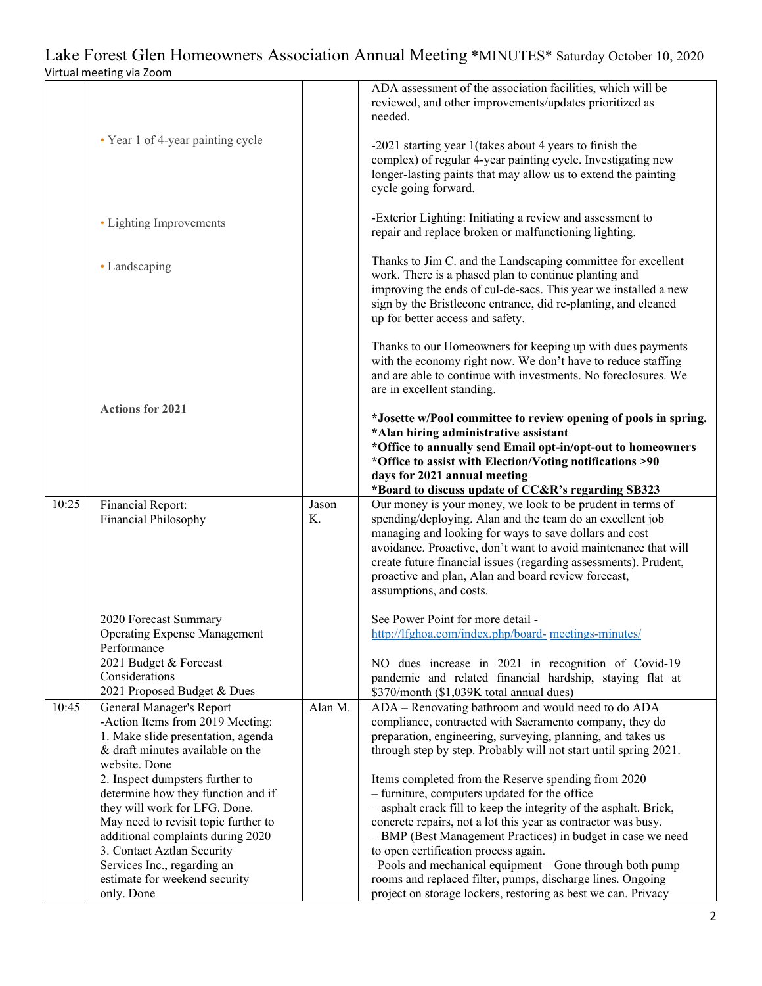|       |                                                                                                                                                         |             | ADA assessment of the association facilities, which will be<br>reviewed, and other improvements/updates prioritized as<br>needed.                                                                                                                                                                                                                                                                          |
|-------|---------------------------------------------------------------------------------------------------------------------------------------------------------|-------------|------------------------------------------------------------------------------------------------------------------------------------------------------------------------------------------------------------------------------------------------------------------------------------------------------------------------------------------------------------------------------------------------------------|
|       | • Year 1 of 4-year painting cycle                                                                                                                       |             | -2021 starting year 1 (takes about 4 years to finish the<br>complex) of regular 4-year painting cycle. Investigating new<br>longer-lasting paints that may allow us to extend the painting<br>cycle going forward.                                                                                                                                                                                         |
|       | • Lighting Improvements                                                                                                                                 |             | -Exterior Lighting: Initiating a review and assessment to<br>repair and replace broken or malfunctioning lighting.                                                                                                                                                                                                                                                                                         |
|       | • Landscaping                                                                                                                                           |             | Thanks to Jim C. and the Landscaping committee for excellent<br>work. There is a phased plan to continue planting and<br>improving the ends of cul-de-sacs. This year we installed a new<br>sign by the Bristlecone entrance, did re-planting, and cleaned<br>up for better access and safety.                                                                                                             |
|       |                                                                                                                                                         |             | Thanks to our Homeowners for keeping up with dues payments<br>with the economy right now. We don't have to reduce staffing<br>and are able to continue with investments. No foreclosures. We<br>are in excellent standing.                                                                                                                                                                                 |
|       | <b>Actions for 2021</b>                                                                                                                                 |             | *Josette w/Pool committee to review opening of pools in spring.<br>*Alan hiring administrative assistant<br>*Office to annually send Email opt-in/opt-out to homeowners<br>*Office to assist with Election/Voting notifications >90<br>days for 2021 annual meeting<br>*Board to discuss update of CC&R's regarding SB323                                                                                  |
| 10:25 | Financial Report:<br>Financial Philosophy                                                                                                               | Jason<br>Κ. | Our money is your money, we look to be prudent in terms of<br>spending/deploying. Alan and the team do an excellent job<br>managing and looking for ways to save dollars and cost<br>avoidance. Proactive, don't want to avoid maintenance that will<br>create future financial issues (regarding assessments). Prudent,<br>proactive and plan, Alan and board review forecast,<br>assumptions, and costs. |
|       | 2020 Forecast Summary<br><b>Operating Expense Management</b><br>Performance                                                                             |             | See Power Point for more detail -<br>http://lfghoa.com/index.php/board- meetings-minutes/                                                                                                                                                                                                                                                                                                                  |
|       | 2021 Budget & Forecast<br>Considerations<br>2021 Proposed Budget & Dues                                                                                 |             | NO dues increase in 2021 in recognition of Covid-19<br>pandemic and related financial hardship, staying flat at<br>\$370/month (\$1,039K total annual dues)                                                                                                                                                                                                                                                |
| 10:45 | General Manager's Report<br>-Action Items from 2019 Meeting:<br>1. Make slide presentation, agenda<br>& draft minutes available on the<br>website. Done | Alan M.     | ADA - Renovating bathroom and would need to do ADA<br>compliance, contracted with Sacramento company, they do<br>preparation, engineering, surveying, planning, and takes us<br>through step by step. Probably will not start until spring 2021.                                                                                                                                                           |
|       | 2. Inspect dumpsters further to<br>determine how they function and if<br>they will work for LFG. Done.                                                  |             | Items completed from the Reserve spending from 2020<br>- furniture, computers updated for the office<br>- asphalt crack fill to keep the integrity of the asphalt. Brick,                                                                                                                                                                                                                                  |
|       | May need to revisit topic further to<br>additional complaints during 2020<br>3. Contact Aztlan Security                                                 |             | concrete repairs, not a lot this year as contractor was busy.<br>- BMP (Best Management Practices) in budget in case we need<br>to open certification process again.                                                                                                                                                                                                                                       |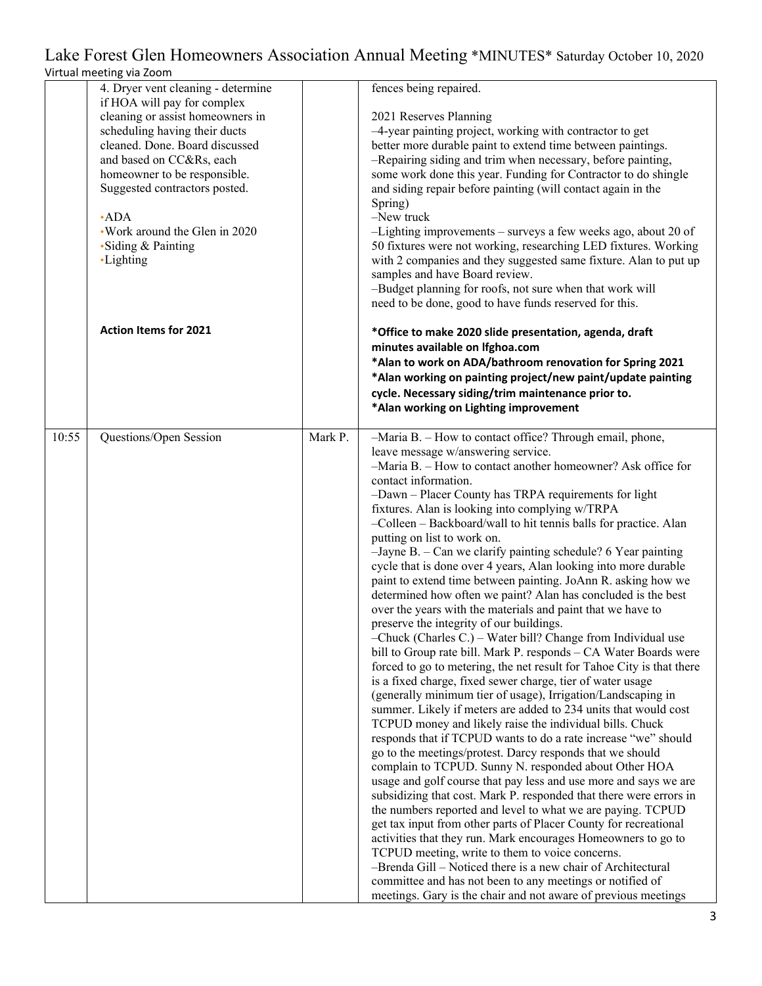|       | virtual meeting via zoom                              |         |                                                                                                                                        |
|-------|-------------------------------------------------------|---------|----------------------------------------------------------------------------------------------------------------------------------------|
|       | 4. Dryer vent cleaning - determine                    |         | fences being repaired.                                                                                                                 |
|       | if HOA will pay for complex                           |         |                                                                                                                                        |
|       | cleaning or assist homeowners in                      |         | 2021 Reserves Planning                                                                                                                 |
|       | scheduling having their ducts                         |         | -4-year painting project, working with contractor to get                                                                               |
|       | cleaned. Done. Board discussed                        |         | better more durable paint to extend time between paintings.                                                                            |
|       | and based on CC&Rs, each                              |         | -Repairing siding and trim when necessary, before painting,                                                                            |
|       | homeowner to be responsible.                          |         | some work done this year. Funding for Contractor to do shingle                                                                         |
|       | Suggested contractors posted.                         |         | and siding repair before painting (will contact again in the                                                                           |
|       |                                                       |         | Spring)                                                                                                                                |
|       | $\cdot$ ADA                                           |         | $-$ New truck                                                                                                                          |
|       | . Work around the Glen in 2020<br>• Siding & Painting |         | $-Lighting$ improvements – surveys a few weeks ago, about 20 of<br>50 fixtures were not working, researching LED fixtures. Working     |
|       | •Lighting                                             |         | with 2 companies and they suggested same fixture. Alan to put up                                                                       |
|       |                                                       |         | samples and have Board review.                                                                                                         |
|       |                                                       |         | -Budget planning for roofs, not sure when that work will                                                                               |
|       |                                                       |         | need to be done, good to have funds reserved for this.                                                                                 |
|       |                                                       |         |                                                                                                                                        |
|       | <b>Action Items for 2021</b>                          |         | *Office to make 2020 slide presentation, agenda, draft                                                                                 |
|       |                                                       |         | minutes available on Ifghoa.com                                                                                                        |
|       |                                                       |         | *Alan to work on ADA/bathroom renovation for Spring 2021                                                                               |
|       |                                                       |         | *Alan working on painting project/new paint/update painting                                                                            |
|       |                                                       |         | cycle. Necessary siding/trim maintenance prior to.                                                                                     |
|       |                                                       |         | *Alan working on Lighting improvement                                                                                                  |
|       |                                                       |         |                                                                                                                                        |
| 10:55 | Questions/Open Session                                | Mark P. | -Maria B. - How to contact office? Through email, phone,                                                                               |
|       |                                                       |         | leave message w/answering service.                                                                                                     |
|       |                                                       |         | -Maria B. - How to contact another homeowner? Ask office for                                                                           |
|       |                                                       |         | contact information.                                                                                                                   |
|       |                                                       |         | -Dawn - Placer County has TRPA requirements for light                                                                                  |
|       |                                                       |         | fixtures. Alan is looking into complying w/TRPA                                                                                        |
|       |                                                       |         | -Colleen - Backboard/wall to hit tennis balls for practice. Alan                                                                       |
|       |                                                       |         | putting on list to work on.<br>$-$ Jayne B. $-$ Can we clarify painting schedule? 6 Year painting                                      |
|       |                                                       |         | cycle that is done over 4 years, Alan looking into more durable                                                                        |
|       |                                                       |         | paint to extend time between painting. JoAnn R. asking how we                                                                          |
|       |                                                       |         | determined how often we paint? Alan has concluded is the best                                                                          |
|       |                                                       |         | over the years with the materials and paint that we have to                                                                            |
|       |                                                       |         | preserve the integrity of our buildings.                                                                                               |
|       |                                                       |         | $-$ Chuck (Charles C.) – Water bill? Change from Individual use                                                                        |
|       |                                                       |         | bill to Group rate bill. Mark P. responds - CA Water Boards were                                                                       |
|       |                                                       |         | forced to go to metering, the net result for Tahoe City is that there                                                                  |
|       |                                                       |         | is a fixed charge, fixed sewer charge, tier of water usage                                                                             |
|       |                                                       |         | (generally minimum tier of usage), Irrigation/Landscaping in                                                                           |
|       |                                                       |         | summer. Likely if meters are added to 234 units that would cost                                                                        |
|       |                                                       |         | TCPUD money and likely raise the individual bills. Chuck                                                                               |
|       |                                                       |         | responds that if TCPUD wants to do a rate increase "we" should                                                                         |
|       |                                                       |         | go to the meetings/protest. Darcy responds that we should                                                                              |
|       |                                                       |         | complain to TCPUD. Sunny N. responded about Other HOA                                                                                  |
|       |                                                       |         | usage and golf course that pay less and use more and says we are<br>subsidizing that cost. Mark P. responded that there were errors in |
|       |                                                       |         |                                                                                                                                        |
|       |                                                       |         |                                                                                                                                        |
|       |                                                       |         | the numbers reported and level to what we are paying. TCPUD                                                                            |
|       |                                                       |         | get tax input from other parts of Placer County for recreational                                                                       |
|       |                                                       |         | activities that they run. Mark encourages Homeowners to go to                                                                          |
|       |                                                       |         | TCPUD meeting, write to them to voice concerns.                                                                                        |
|       |                                                       |         | -Brenda Gill - Noticed there is a new chair of Architectural<br>committee and has not been to any meetings or notified of              |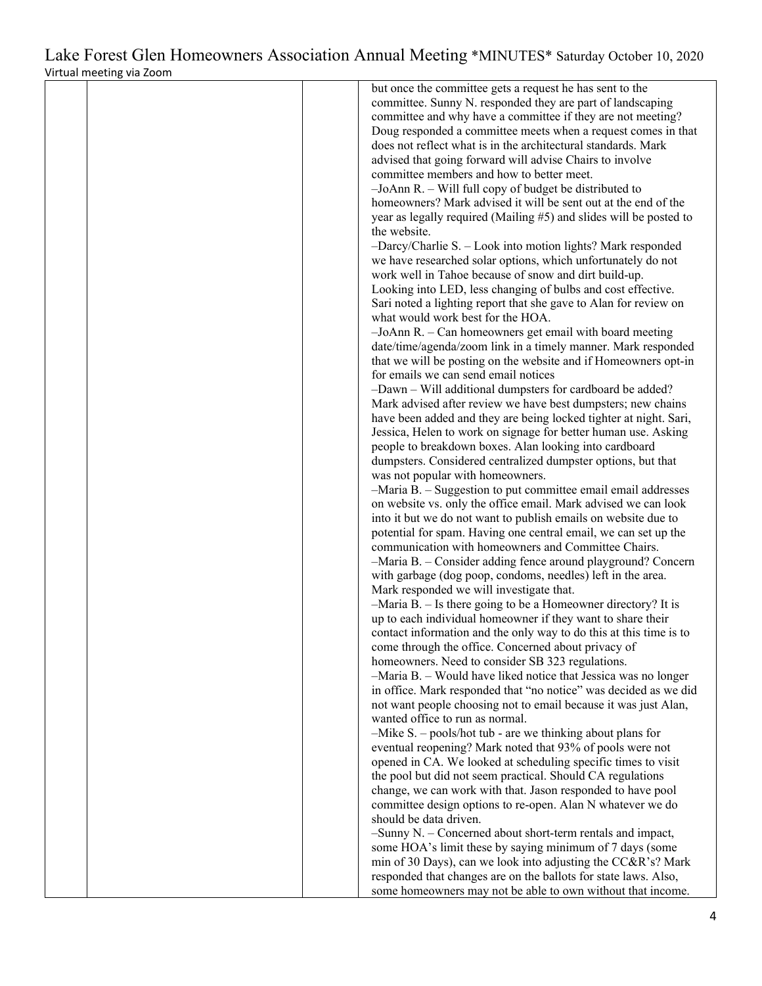|  | but once the committee gets a request he has sent to the           |
|--|--------------------------------------------------------------------|
|  | committee. Sunny N. responded they are part of landscaping         |
|  |                                                                    |
|  | committee and why have a committee if they are not meeting?        |
|  | Doug responded a committee meets when a request comes in that      |
|  |                                                                    |
|  | does not reflect what is in the architectural standards. Mark      |
|  | advised that going forward will advise Chairs to involve           |
|  | committee members and how to better meet.                          |
|  |                                                                    |
|  | $-JoAnn R. - Will full copy of budget be distributed to$           |
|  | homeowners? Mark advised it will be sent out at the end of the     |
|  | year as legally required (Mailing #5) and slides will be posted to |
|  |                                                                    |
|  | the website.                                                       |
|  | -Darcy/Charlie S. - Look into motion lights? Mark responded        |
|  | we have researched solar options, which unfortunately do not       |
|  |                                                                    |
|  | work well in Tahoe because of snow and dirt build-up.              |
|  | Looking into LED, less changing of bulbs and cost effective.       |
|  | Sari noted a lighting report that she gave to Alan for review on   |
|  |                                                                    |
|  | what would work best for the HOA.                                  |
|  | $-JoAnn R.$ - Can homeowners get email with board meeting          |
|  | date/time/agenda/zoom link in a timely manner. Mark responded      |
|  |                                                                    |
|  | that we will be posting on the website and if Homeowners opt-in    |
|  | for emails we can send email notices                               |
|  | -Dawn - Will additional dumpsters for cardboard be added?          |
|  |                                                                    |
|  | Mark advised after review we have best dumpsters; new chains       |
|  | have been added and they are being locked tighter at night. Sari,  |
|  | Jessica, Helen to work on signage for better human use. Asking     |
|  |                                                                    |
|  | people to breakdown boxes. Alan looking into cardboard             |
|  | dumpsters. Considered centralized dumpster options, but that       |
|  | was not popular with homeowners.                                   |
|  |                                                                    |
|  | -Maria B. - Suggestion to put committee email email addresses      |
|  | on website vs. only the office email. Mark advised we can look     |
|  | into it but we do not want to publish emails on website due to     |
|  |                                                                    |
|  | potential for spam. Having one central email, we can set up the    |
|  | communication with homeowners and Committee Chairs.                |
|  | -Maria B. - Consider adding fence around playground? Concern       |
|  |                                                                    |
|  | with garbage (dog poop, condoms, needles) left in the area.        |
|  | Mark responded we will investigate that.                           |
|  | $-Maria B. - Is there going to be a Home owner directory? It is$   |
|  |                                                                    |
|  | up to each individual homeowner if they want to share their        |
|  | contact information and the only way to do this at this time is to |
|  | come through the office. Concerned about privacy of                |
|  |                                                                    |
|  | homeowners. Need to consider SB 323 regulations.                   |
|  | $-Maria B. - Would have liked notice that Jessica was no longer$   |
|  | in office. Mark responded that "no notice" was decided as we did   |
|  | not want people choosing not to email because it was just Alan,    |
|  |                                                                    |
|  | wanted office to run as normal.                                    |
|  | $-Mike S. - pools/hot tub - are we thinking about plans for$       |
|  | eventual reopening? Mark noted that 93% of pools were not          |
|  |                                                                    |
|  | opened in CA. We looked at scheduling specific times to visit      |
|  | the pool but did not seem practical. Should CA regulations         |
|  | change, we can work with that. Jason responded to have pool        |
|  |                                                                    |
|  | committee design options to re-open. Alan N whatever we do         |
|  | should be data driven.                                             |
|  | -Sunny N. - Concerned about short-term rentals and impact,         |
|  |                                                                    |
|  | some HOA's limit these by saying minimum of 7 days (some           |
|  | min of 30 Days), can we look into adjusting the CC&R's? Mark       |
|  | responded that changes are on the ballots for state laws. Also,    |
|  |                                                                    |
|  | some homeowners may not be able to own without that income.        |